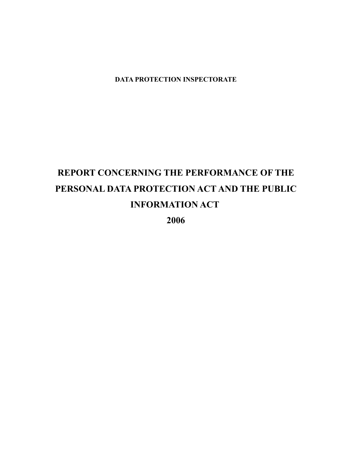**DATA PROTECTION INSPECTORATE**

# **REPORT CONCERNING THE PERFORMANCE OF THE PERSONAL DATA PROTECTION ACT AND THE PUBLIC INFORMATION ACT**

**2006**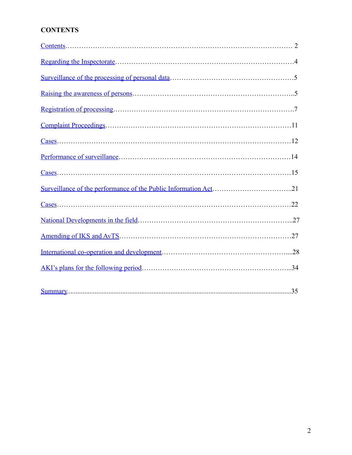### **CONTENTS**

<span id="page-1-0"></span>

| $\frac{\text{Cases}}{\text{Cases}}$ |  |
|-------------------------------------|--|
|                                     |  |
|                                     |  |
|                                     |  |
| $\text{Case}$                       |  |
|                                     |  |
|                                     |  |
|                                     |  |
|                                     |  |
|                                     |  |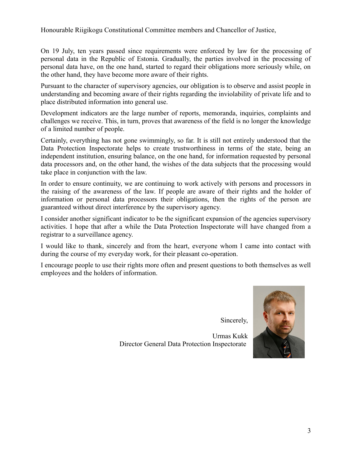Honourable Riigikogu Constitutional Committee members and Chancellor of Justice,

On 19 July, ten years passed since requirements were enforced by law for the processing of personal data in the Republic of Estonia. Gradually, the parties involved in the processing of personal data have, on the one hand, started to regard their obligations more seriously while, on the other hand, they have become more aware of their rights.

Pursuant to the character of supervisory agencies, our obligation is to observe and assist people in understanding and becoming aware of their rights regarding the inviolability of private life and to place distributed information into general use.

Development indicators are the large number of reports, memoranda, inquiries, complaints and challenges we receive. This, in turn, proves that awareness of the field is no longer the knowledge of a limited number of people.

Certainly, everything has not gone swimmingly, so far. It is still not entirely understood that the Data Protection Inspectorate helps to create trustworthiness in terms of the state, being an independent institution, ensuring balance, on the one hand, for information requested by personal data processors and, on the other hand, the wishes of the data subjects that the processing would take place in conjunction with the law.

In order to ensure continuity, we are continuing to work actively with persons and processors in the raising of the awareness of the law. If people are aware of their rights and the holder of information or personal data processors their obligations, then the rights of the person are guaranteed without direct interference by the supervisory agency.

I consider another significant indicator to be the significant expansion of the agencies supervisory activities. I hope that after a while the Data Protection Inspectorate will have changed from a registrar to a surveillance agency.

I would like to thank, sincerely and from the heart, everyone whom I came into contact with during the course of my everyday work, for their pleasant co-operation.

I encourage people to use their rights more often and present questions to both themselves as well employees and the holders of information.

Sincerely,

Urmas Kukk Director General Data Protection Inspectorate

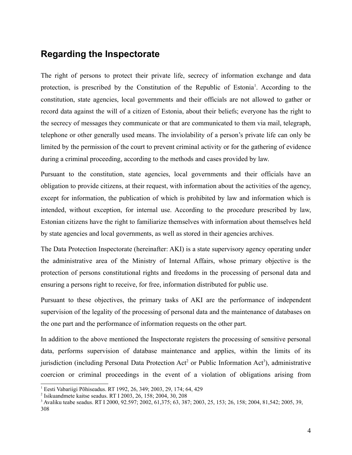# <span id="page-3-0"></span>**Regarding the Inspectorate**

The right of persons to protect their private life, secrecy of information exchange and data protection, is prescribed by the Constitution of the Republic of Estonia<sup>[1](#page-3-1)</sup>. According to the constitution, state agencies, local governments and their officials are not allowed to gather or record data against the will of a citizen of Estonia, about their beliefs; everyone has the right to the secrecy of messages they communicate or that are communicated to them via mail, telegraph, telephone or other generally used means. The inviolability of a person's private life can only be limited by the permission of the court to prevent criminal activity or for the gathering of evidence during a criminal proceeding, according to the methods and cases provided by law.

Pursuant to the constitution, state agencies, local governments and their officials have an obligation to provide citizens, at their request, with information about the activities of the agency, except for information, the publication of which is prohibited by law and information which is intended, without exception, for internal use. According to the procedure prescribed by law, Estonian citizens have the right to familiarize themselves with information about themselves held by state agencies and local governments, as well as stored in their agencies archives.

The Data Protection Inspectorate (hereinafter: AKI) is a state supervisory agency operating under the administrative area of the Ministry of Internal Affairs, whose primary objective is the protection of persons constitutional rights and freedoms in the processing of personal data and ensuring a persons right to receive, for free, information distributed for public use.

Pursuant to these objectives, the primary tasks of AKI are the performance of independent supervision of the legality of the processing of personal data and the maintenance of databases on the one part and the performance of information requests on the other part.

In addition to the above mentioned the Inspectorate registers the processing of sensitive personal data, performs supervision of database maintenance and applies, within the limits of its jurisdiction (including Personal Data Protection Act<sup>[2](#page-3-2)</sup> or Public Information Act<sup>[3](#page-3-3)</sup>), administrative coercion or criminal proceedings in the event of a violation of obligations arising from

<span id="page-3-1"></span><sup>1</sup> Eesti Vabariigi Põhiseadus. RT 1992, 26, 349; 2003, 29, 174; 64, 429

<span id="page-3-2"></span><sup>2</sup> Isikuandmete kaitse seadus. RT I 2003, 26, 158; 2004, 30, 208

<span id="page-3-3"></span><sup>3</sup> Avaliku teabe seadus. RT I 2000, 92.597; 2002, 61,375; 63, 387; 2003, 25, 153; 26, 158; 2004, 81,542; 2005, 39, 308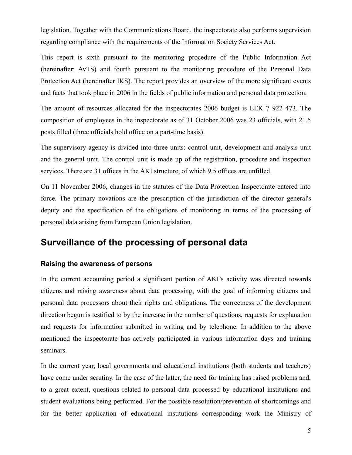legislation. Together with the Communications Board, the inspectorate also performs supervision regarding compliance with the requirements of the Information Society Services Act.

This report is sixth pursuant to the monitoring procedure of the Public Information Act (hereinafter: AvTS) and fourth pursuant to the monitoring procedure of the Personal Data Protection Act (hereinafter IKS). The report provides an overview of the more significant events and facts that took place in 2006 in the fields of public information and personal data protection.

The amount of resources allocated for the inspectorates 2006 budget is EEK 7 922 473. The composition of employees in the inspectorate as of 31 October 2006 was 23 officials, with 21.5 posts filled (three officials hold office on a part-time basis).

The supervisory agency is divided into three units: control unit, development and analysis unit and the general unit. The control unit is made up of the registration, procedure and inspection services. There are 31 offices in the AKI structure, of which 9.5 offices are unfilled.

On 11 November 2006, changes in the statutes of the Data Protection Inspectorate entered into force. The primary novations are the prescription of the jurisdiction of the director general's deputy and the specification of the obligations of monitoring in terms of the processing of personal data arising from European Union legislation.

# <span id="page-4-1"></span>**Surveillance of the processing of personal data**

#### <span id="page-4-0"></span>**Raising the awareness of persons**

In the current accounting period a significant portion of AKI's activity was directed towards citizens and raising awareness about data processing, with the goal of informing citizens and personal data processors about their rights and obligations. The correctness of the development direction begun is testified to by the increase in the number of questions, requests for explanation and requests for information submitted in writing and by telephone. In addition to the above mentioned the inspectorate has actively participated in various information days and training seminars.

In the current year, local governments and educational institutions (both students and teachers) have come under scrutiny. In the case of the latter, the need for training has raised problems and, to a great extent, questions related to personal data processed by educational institutions and student evaluations being performed. For the possible resolution/prevention of shortcomings and for the better application of educational institutions corresponding work the Ministry of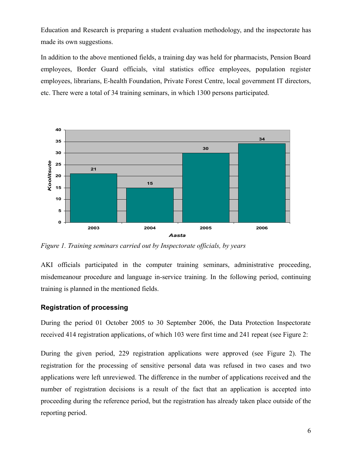Education and Research is preparing a student evaluation methodology, and the inspectorate has made its own suggestions.

In addition to the above mentioned fields, a training day was held for pharmacists, Pension Board employees, Border Guard officials, vital statistics office employees, population register employees, librarians, E-health Foundation, Private Forest Centre, local government IT directors, etc. There were a total of 34 training seminars, in which 1300 persons participated.



*Figure 1. Training seminars carried out by Inspectorate officials, by years*

AKI officials participated in the computer training seminars, administrative proceeding, misdemeanour procedure and language in-service training. In the following period, continuing training is planned in the mentioned fields.

#### <span id="page-5-0"></span>**Registration of processing**

During the period 01 October 2005 to 30 September 2006, the Data Protection Inspectorate received 414 registration applications, of which 103 were first time and 241 repeat (see Figure 2:

During the given period, 229 registration applications were approved (see Figure 2). The registration for the processing of sensitive personal data was refused in two cases and two applications were left unreviewed. The difference in the number of applications received and the number of registration decisions is a result of the fact that an application is accepted into proceeding during the reference period, but the registration has already taken place outside of the reporting period.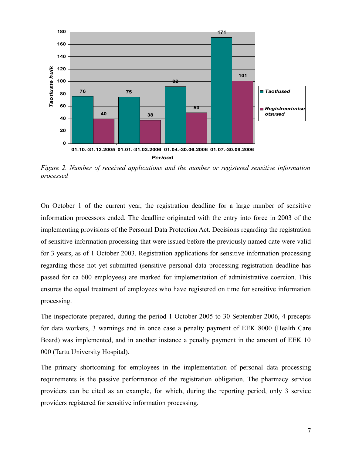

*Figure 2. Number of received applications and the number or registered sensitive information processed*

On October 1 of the current year, the registration deadline for a large number of sensitive information processors ended. The deadline originated with the entry into force in 2003 of the implementing provisions of the Personal Data Protection Act. Decisions regarding the registration of sensitive information processing that were issued before the previously named date were valid for 3 years, as of 1 October 2003. Registration applications for sensitive information processing regarding those not yet submitted (sensitive personal data processing registration deadline has passed for ca 600 employees) are marked for implementation of administrative coercion. This ensures the equal treatment of employees who have registered on time for sensitive information processing.

The inspectorate prepared, during the period 1 October 2005 to 30 September 2006, 4 precepts for data workers, 3 warnings and in once case a penalty payment of EEK 8000 (Health Care Board) was implemented, and in another instance a penalty payment in the amount of EEK 10 000 (Tartu University Hospital).

The primary shortcoming for employees in the implementation of personal data processing requirements is the passive performance of the registration obligation. The pharmacy service providers can be cited as an example, for which, during the reporting period, only 3 service providers registered for sensitive information processing.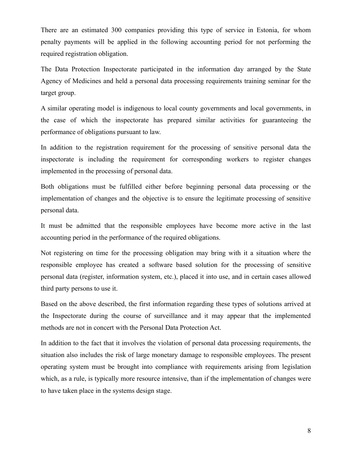There are an estimated 300 companies providing this type of service in Estonia, for whom penalty payments will be applied in the following accounting period for not performing the required registration obligation.

The Data Protection Inspectorate participated in the information day arranged by the State Agency of Medicines and held a personal data processing requirements training seminar for the target group.

A similar operating model is indigenous to local county governments and local governments, in the case of which the inspectorate has prepared similar activities for guaranteeing the performance of obligations pursuant to law.

In addition to the registration requirement for the processing of sensitive personal data the inspectorate is including the requirement for corresponding workers to register changes implemented in the processing of personal data.

Both obligations must be fulfilled either before beginning personal data processing or the implementation of changes and the objective is to ensure the legitimate processing of sensitive personal data.

It must be admitted that the responsible employees have become more active in the last accounting period in the performance of the required obligations.

Not registering on time for the processing obligation may bring with it a situation where the responsible employee has created a software based solution for the processing of sensitive personal data (register, information system, etc.), placed it into use, and in certain cases allowed third party persons to use it.

Based on the above described, the first information regarding these types of solutions arrived at the Inspectorate during the course of surveillance and it may appear that the implemented methods are not in concert with the Personal Data Protection Act.

In addition to the fact that it involves the violation of personal data processing requirements, the situation also includes the risk of large monetary damage to responsible employees. The present operating system must be brought into compliance with requirements arising from legislation which, as a rule, is typically more resource intensive, than if the implementation of changes were to have taken place in the systems design stage.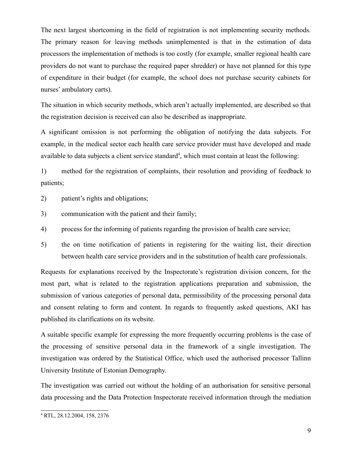The next largest shortcoming in the field of registration is not implementing security methods. The primary reason for leaving methods unimplemented is that in the estimation of data processors the implementation of methods is too costly (for example, smaller regional health care providers do not want to purchase the required paper shredder) or have not planned for this type of expenditure in their budget (for example, the school does not purchase security cabinets for nurses' ambulatory carts).

The situation in which security methods, which aren't actually implemented, are described so that the registration decision is received can also be described as inappropriate.

A significant omission is not performing the obligation of notifying the data subjects. For example, in the medical sector each health care service provider must have developed and made available to data subjects a client service standard<sup>[4](#page-8-0)</sup>, which must contain at least the following:

1) method for the registration of complaints, their resolution and providing of feedback to patients;

- 2) patient's rights and obligations;
- 3) communication with the patient and their family;
- 4) process for the informing of patients regarding the provision of health care service;
- 5) the on time notification of patients in registering for the waiting list, their direction between health care service providers and in the substitution of health care professionals.

Requests for explanations received by the Inspectorate's registration division concern, for the most part, what is related to the registration applications preparation and submission, the submission of various categories of personal data, permissibility of the processing personal data and consent relating to form and content. In regards to frequently asked questions, AKI has published its clarifications on its website.

A suitable specific example for expressing the more frequently occurring problems is the case of the processing of sensitive personal data in the framework of a single investigation. The investigation was ordered by the Statistical Office, which used the authorised processor Tallinn University Institute of Estonian Demography.

The investigation was carried out without the holding of an authorisation for sensitive personal data processing and the Data Protection Inspectorate received information through the mediation

<span id="page-8-0"></span><sup>4</sup> RTL, 28.12.2004, 158, 2376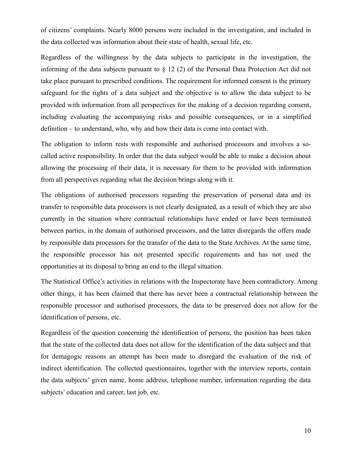of citizens' complaints. Nearly 8000 persons were included in the investigation, and included in the data collected was information about their state of health, sexual life, etc.

Regardless of the willingness by the data subjects to participate in the investigation, the informing of the data subjects pursuant to § 12 (2) of the Personal Data Protection Act did not take place pursuant to prescribed conditions. The requirement for informed consent is the primary safeguard for the rights of a data subject and the objective is to allow the data subject to be provided with information from all perspectives for the making of a decision regarding consent, including evaluating the accompanying risks and possible consequences, or in a simplified definition – to understand, who, why and how their data is come into contact with.

The obligation to inform rests with responsible and authorised processors and involves a socalled active responsibility. In order that the data subject would be able to make a decision about allowing the processing of their data, it is necessary for them to be provided with information from all perspectives regarding what the decision brings along with it.

The obligations of authorised processors regarding the preservation of personal data and its transfer to responsible data processors is not clearly designated, as a result of which they are also currently in the situation where contractual relationships have ended or have been terminated between parties, in the domain of authorised processors, and the latter disregards the offers made by responsible data processors for the transfer of the data to the State Archives. At the same time, the responsible processor has not presented specific requirements and has not used the opportunities at its disposal to bring an end to the illegal situation.

The Statistical Office's activities in relations with the Inspectorate have been contradictory. Among other things, it has been claimed that there has never been a contractual relationship between the responsible processor and authorised processors, the data to be preserved does not allow for the identification of persons, etc.

Regardless of the question concerning the identification of persons, the position has been taken that the state of the collected data does not allow for the identification of the data subject and that for demagogic reasons an attempt has been made to disregard the evaluation of the risk of indirect identification. The collected questionnaires, together with the interview reports, contain the data subjects' given name, home address, telephone number, information regarding the data subjects' education and career, last job, etc.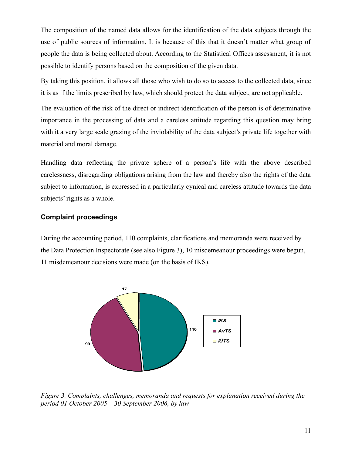The composition of the named data allows for the identification of the data subjects through the use of public sources of information. It is because of this that it doesn't matter what group of people the data is being collected about. According to the Statistical Offices assessment, it is not possible to identify persons based on the composition of the given data.

By taking this position, it allows all those who wish to do so to access to the collected data, since it is as if the limits prescribed by law, which should protect the data subject, are not applicable.

The evaluation of the risk of the direct or indirect identification of the person is of determinative importance in the processing of data and a careless attitude regarding this question may bring with it a very large scale grazing of the inviolability of the data subject's private life together with material and moral damage.

Handling data reflecting the private sphere of a person's life with the above described carelessness, disregarding obligations arising from the law and thereby also the rights of the data subject to information, is expressed in a particularly cynical and careless attitude towards the data subjects' rights as a whole.

#### <span id="page-10-0"></span>**Complaint proceedings**

During the accounting period, 110 complaints, clarifications and memoranda were received by the Data Protection Inspectorate (see also Figure 3), 10 misdemeanour proceedings were begun, 11 misdemeanour decisions were made (on the basis of IKS).



*Figure 3. Complaints, challenges, memoranda and requests for explanation received during the period 01 October 2005 – 30 September 2006, by law*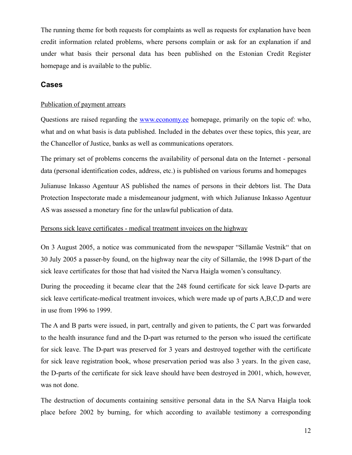The running theme for both requests for complaints as well as requests for explanation have been credit information related problems, where persons complain or ask for an explanation if and under what basis their personal data has been published on the Estonian Credit Register homepage and is available to the public.

#### <span id="page-11-0"></span>**Cases**

#### Publication of payment arrears

Questions are raised regarding the [www.economy.ee](http://www.economy.ee/) homepage, primarily on the topic of: who, what and on what basis is data published. Included in the debates over these topics, this year, are the Chancellor of Justice, banks as well as communications operators.

The primary set of problems concerns the availability of personal data on the Internet - personal data (personal identification codes, address, etc.) is published on various forums and homepages

Julianuse Inkasso Agentuur AS published the names of persons in their debtors list. The Data Protection Inspectorate made a misdemeanour judgment, with which Julianuse Inkasso Agentuur AS was assessed a monetary fine for the unlawful publication of data.

#### Persons sick leave certificates - medical treatment invoices on the highway

On 3 August 2005, a notice was communicated from the newspaper "Sillamäe Vestnik" that on 30 July 2005 a passer-by found, on the highway near the city of Sillamäe, the 1998 D-part of the sick leave certificates for those that had visited the Narva Haigla women's consultancy.

During the proceeding it became clear that the 248 found certificate for sick leave D-parts are sick leave certificate-medical treatment invoices, which were made up of parts A,B,C,D and were in use from 1996 to 1999.

The A and B parts were issued, in part, centrally and given to patients, the C part was forwarded to the health insurance fund and the D-part was returned to the person who issued the certificate for sick leave. The D-part was preserved for 3 years and destroyed together with the certificate for sick leave registration book, whose preservation period was also 3 years. In the given case, the D-parts of the certificate for sick leave should have been destroyed in 2001, which, however, was not done.

The destruction of documents containing sensitive personal data in the SA Narva Haigla took place before 2002 by burning, for which according to available testimony a corresponding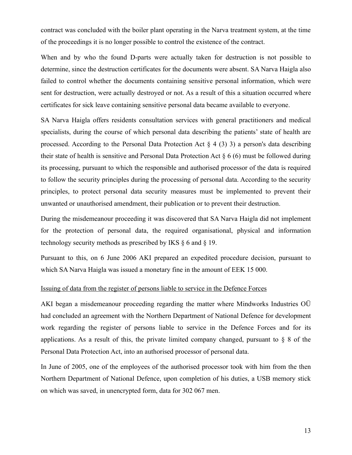contract was concluded with the boiler plant operating in the Narva treatment system, at the time of the proceedings it is no longer possible to control the existence of the contract.

When and by who the found D-parts were actually taken for destruction is not possible to determine, since the destruction certificates for the documents were absent. SA Narva Haigla also failed to control whether the documents containing sensitive personal information, which were sent for destruction, were actually destroyed or not. As a result of this a situation occurred where certificates for sick leave containing sensitive personal data became available to everyone.

SA Narva Haigla offers residents consultation services with general practitioners and medical specialists, during the course of which personal data describing the patients' state of health are processed. According to the Personal Data Protection Act  $\S 4(3)$  3) a person's data describing their state of health is sensitive and Personal Data Protection Act § 6 (6) must be followed during its processing, pursuant to which the responsible and authorised processor of the data is required to follow the security principles during the processing of personal data. According to the security principles, to protect personal data security measures must be implemented to prevent their unwanted or unauthorised amendment, their publication or to prevent their destruction.

During the misdemeanour proceeding it was discovered that SA Narva Haigla did not implement for the protection of personal data, the required organisational, physical and information technology security methods as prescribed by IKS § 6 and § 19.

Pursuant to this, on 6 June 2006 AKI prepared an expedited procedure decision, pursuant to which SA Narva Haigla was issued a monetary fine in the amount of EEK 15 000.

#### Issuing of data from the register of persons liable to service in the Defence Forces

AKI began a misdemeanour proceeding regarding the matter where Mindworks Industries OÜ had concluded an agreement with the Northern Department of National Defence for development work regarding the register of persons liable to service in the Defence Forces and for its applications. As a result of this, the private limited company changed, pursuant to § 8 of the Personal Data Protection Act, into an authorised processor of personal data.

In June of 2005, one of the employees of the authorised processor took with him from the then Northern Department of National Defence, upon completion of his duties, a USB memory stick on which was saved, in unencrypted form, data for 302 067 men.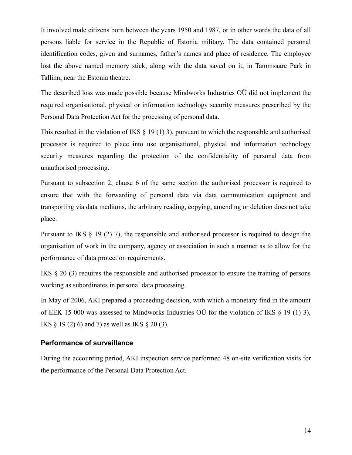It involved male citizens born between the years 1950 and 1987, or in other words the data of all persons liable for service in the Republic of Estonia military. The data contained personal identification codes, given and surnames, father's names and place of residence. The employee lost the above named memory stick, along with the data saved on it, in Tammsaare Park in Tallinn, near the Estonia theatre.

The described loss was made possible because Mindworks Industries OÜ did not implement the required organisational, physical or information technology security measures prescribed by the Personal Data Protection Act for the processing of personal data.

This resulted in the violation of IKS  $\S$  19 (1) 3), pursuant to which the responsible and authorised processor is required to place into use organisational, physical and information technology security measures regarding the protection of the confidentiality of personal data from unauthorised processing.

Pursuant to subsection 2, clause 6 of the same section the authorised processor is required to ensure that with the forwarding of personal data via data communication equipment and transporting via data mediums, the arbitrary reading, copying, amending or deletion does not take place.

Pursuant to IKS § 19 (2) 7), the responsible and authorised processor is required to design the organisation of work in the company, agency or association in such a manner as to allow for the performance of data protection requirements.

IKS § 20 (3) requires the responsible and authorised processor to ensure the training of persons working as subordinates in personal data processing.

In May of 2006, AKI prepared a proceeding-decision, with which a monetary find in the amount of EEK 15 000 was assessed to Mindworks Industries OÜ for the violation of IKS § 19 (1) 3), IKS  $\S$  19 (2) 6) and 7) as well as IKS  $\S$  20 (3).

#### <span id="page-13-0"></span>**Performance of surveillance**

During the accounting period, AKI inspection service performed 48 on-site verification visits for the performance of the Personal Data Protection Act.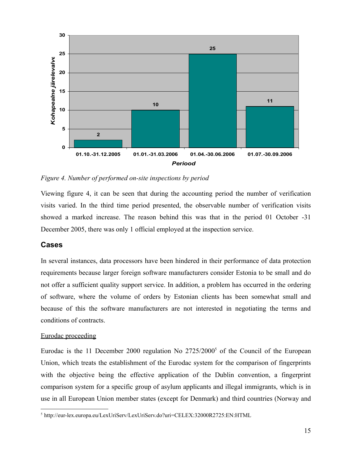

*Figure 4. Number of performed on-site inspections by period*

Viewing figure 4, it can be seen that during the accounting period the number of verification visits varied. In the third time period presented, the observable number of verification visits showed a marked increase. The reason behind this was that in the period 01 October -31 December 2005, there was only 1 official employed at the inspection service.

#### <span id="page-14-0"></span>**Cases**

In several instances, data processors have been hindered in their performance of data protection requirements because larger foreign software manufacturers consider Estonia to be small and do not offer a sufficient quality support service. In addition, a problem has occurred in the ordering of software, where the volume of orders by Estonian clients has been somewhat small and because of this the software manufacturers are not interested in negotiating the terms and conditions of contracts.

#### Eurodac proceeding

Eurodac is the 11 December 2000 regulation No 272[5](#page-14-1)/2000<sup>5</sup> of the Council of the European Union, which treats the establishment of the Eurodac system for the comparison of fingerprints with the objective being the effective application of the Dublin convention, a fingerprint comparison system for a specific group of asylum applicants and illegal immigrants, which is in use in all European Union member states (except for Denmark) and third countries (Norway and

<span id="page-14-1"></span><sup>5</sup> http://eur-lex.europa.eu/LexUriServ/LexUriServ.do?uri=CELEX:32000R2725:EN:HTML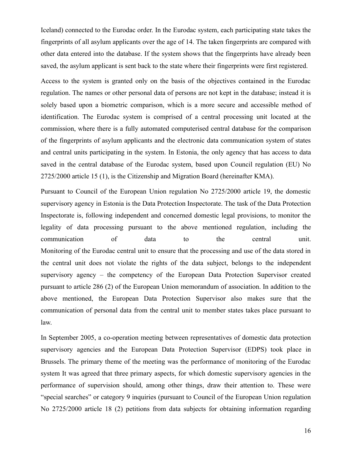Iceland) connected to the Eurodac order. In the Eurodac system, each participating state takes the fingerprints of all asylum applicants over the age of 14. The taken fingerprints are compared with other data entered into the database. If the system shows that the fingerprints have already been saved, the asylum applicant is sent back to the state where their fingerprints were first registered.

Access to the system is granted only on the basis of the objectives contained in the Eurodac regulation. The names or other personal data of persons are not kept in the database; instead it is solely based upon a biometric comparison, which is a more secure and accessible method of identification. The Eurodac system is comprised of a central processing unit located at the commission, where there is a fully automated computerised central database for the comparison of the fingerprints of asylum applicants and the electronic data communication system of states and central units participating in the system. In Estonia, the only agency that has access to data saved in the central database of the Eurodac system, based upon Council regulation (EU) No 2725/2000 article 15 (1), is the Citizenship and Migration Board (hereinafter KMA).

Pursuant to Council of the European Union regulation No 2725/2000 article 19, the domestic supervisory agency in Estonia is the Data Protection Inspectorate. The task of the Data Protection Inspectorate is, following independent and concerned domestic legal provisions, to monitor the legality of data processing pursuant to the above mentioned regulation, including the communication of data to the central unit. Monitoring of the Eurodac central unit to ensure that the processing and use of the data stored in the central unit does not violate the rights of the data subject, belongs to the independent supervisory agency – the competency of the European Data Protection Supervisor created pursuant to article 286 (2) of the European Union memorandum of association. In addition to the above mentioned, the European Data Protection Supervisor also makes sure that the communication of personal data from the central unit to member states takes place pursuant to law.

In September 2005, a co-operation meeting between representatives of domestic data protection supervisory agencies and the European Data Protection Supervisor (EDPS) took place in Brussels. The primary theme of the meeting was the performance of monitoring of the Eurodac system It was agreed that three primary aspects, for which domestic supervisory agencies in the performance of supervision should, among other things, draw their attention to. These were "special searches" or category 9 inquiries (pursuant to Council of the European Union regulation No 2725/2000 article 18 (2) petitions from data subjects for obtaining information regarding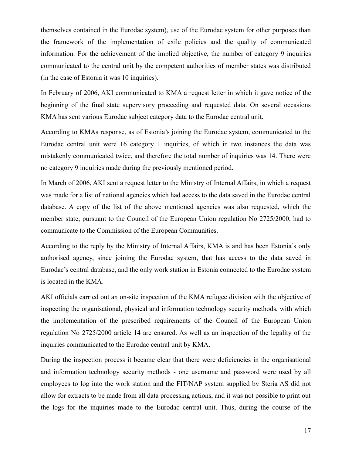themselves contained in the Eurodac system), use of the Eurodac system for other purposes than the framework of the implementation of exile policies and the quality of communicated information. For the achievement of the implied objective, the number of category 9 inquiries communicated to the central unit by the competent authorities of member states was distributed (in the case of Estonia it was 10 inquiries).

In February of 2006, AKI communicated to KMA a request letter in which it gave notice of the beginning of the final state supervisory proceeding and requested data. On several occasions KMA has sent various Eurodac subject category data to the Eurodac central unit.

According to KMAs response, as of Estonia's joining the Eurodac system, communicated to the Eurodac central unit were 16 category 1 inquiries, of which in two instances the data was mistakenly communicated twice, and therefore the total number of inquiries was 14. There were no category 9 inquiries made during the previously mentioned period.

In March of 2006, AKI sent a request letter to the Ministry of Internal Affairs, in which a request was made for a list of national agencies which had access to the data saved in the Eurodac central database. A copy of the list of the above mentioned agencies was also requested, which the member state, pursuant to the Council of the European Union regulation No 2725/2000, had to communicate to the Commission of the European Communities.

According to the reply by the Ministry of Internal Affairs, KMA is and has been Estonia's only authorised agency, since joining the Eurodac system, that has access to the data saved in Eurodac's central database, and the only work station in Estonia connected to the Eurodac system is located in the KMA.

AKI officials carried out an on-site inspection of the KMA refugee division with the objective of inspecting the organisational, physical and information technology security methods, with which the implementation of the prescribed requirements of the Council of the European Union regulation No 2725/2000 article 14 are ensured. As well as an inspection of the legality of the inquiries communicated to the Eurodac central unit by KMA.

During the inspection process it became clear that there were deficiencies in the organisational and information technology security methods - one username and password were used by all employees to log into the work station and the FIT/NAP system supplied by Steria AS did not allow for extracts to be made from all data processing actions, and it was not possible to print out the logs for the inquiries made to the Eurodac central unit. Thus, during the course of the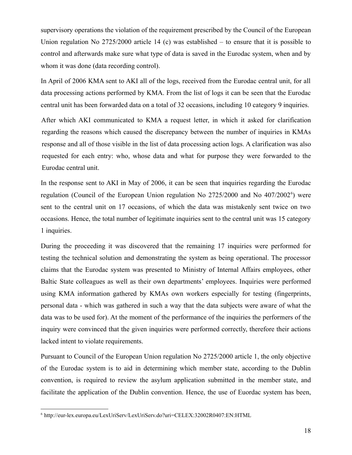supervisory operations the violation of the requirement prescribed by the Council of the European Union regulation No 2725/2000 article 14 (c) was established – to ensure that it is possible to control and afterwards make sure what type of data is saved in the Eurodac system, when and by whom it was done (data recording control).

In April of 2006 KMA sent to AKI all of the logs, received from the Eurodac central unit, for all data processing actions performed by KMA. From the list of logs it can be seen that the Eurodac central unit has been forwarded data on a total of 32 occasions, including 10 category 9 inquiries.

After which AKI communicated to KMA a request letter, in which it asked for clarification regarding the reasons which caused the discrepancy between the number of inquiries in KMAs response and all of those visible in the list of data processing action logs. A clarification was also requested for each entry: who, whose data and what for purpose they were forwarded to the Eurodac central unit.

In the response sent to AKI in May of 2006, it can be seen that inquiries regarding the Eurodac regulation (Council of the European Union regulation No 2725/2000 and No 407/2002<sup>[6](#page-17-0)</sup>) were sent to the central unit on 17 occasions, of which the data was mistakenly sent twice on two occasions. Hence, the total number of legitimate inquiries sent to the central unit was 15 category 1 inquiries.

During the proceeding it was discovered that the remaining 17 inquiries were performed for testing the technical solution and demonstrating the system as being operational. The processor claims that the Eurodac system was presented to Ministry of Internal Affairs employees, other Baltic State colleagues as well as their own departments' employees. Inquiries were performed using KMA information gathered by KMAs own workers especially for testing (fingerprints, personal data - which was gathered in such a way that the data subjects were aware of what the data was to be used for). At the moment of the performance of the inquiries the performers of the inquiry were convinced that the given inquiries were performed correctly, therefore their actions lacked intent to violate requirements.

Pursuant to Council of the European Union regulation No 2725/2000 article 1, the only objective of the Eurodac system is to aid in determining which member state, according to the Dublin convention, is required to review the asylum application submitted in the member state, and facilitate the application of the Dublin convention. Hence, the use of Euordac system has been,

<span id="page-17-0"></span><sup>6</sup> http://eur-lex.europa.eu/LexUriServ/LexUriServ.do?uri=CELEX:32002R0407:EN:HTML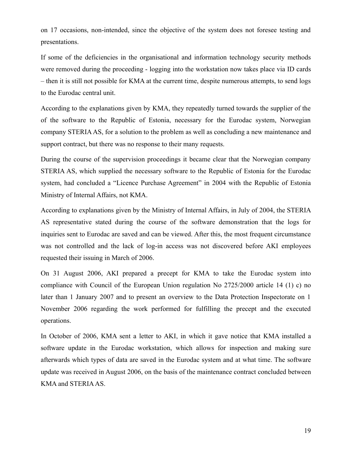on 17 occasions, non-intended, since the objective of the system does not foresee testing and presentations.

If some of the deficiencies in the organisational and information technology security methods were removed during the proceeding - logging into the workstation now takes place via ID cards – then it is still not possible for KMA at the current time, despite numerous attempts, to send logs to the Eurodac central unit.

According to the explanations given by KMA, they repeatedly turned towards the supplier of the of the software to the Republic of Estonia, necessary for the Eurodac system, Norwegian company STERIA AS, for a solution to the problem as well as concluding a new maintenance and support contract, but there was no response to their many requests.

During the course of the supervision proceedings it became clear that the Norwegian company STERIA AS, which supplied the necessary software to the Republic of Estonia for the Eurodac system, had concluded a "Licence Purchase Agreement" in 2004 with the Republic of Estonia Ministry of Internal Affairs, not KMA.

According to explanations given by the Ministry of Internal Affairs, in July of 2004, the STERIA AS representative stated during the course of the software demonstration that the logs for inquiries sent to Eurodac are saved and can be viewed. After this, the most frequent circumstance was not controlled and the lack of log-in access was not discovered before AKI employees requested their issuing in March of 2006.

On 31 August 2006, AKI prepared a precept for KMA to take the Eurodac system into compliance with Council of the European Union regulation No 2725/2000 article 14 (1) c) no later than 1 January 2007 and to present an overview to the Data Protection Inspectorate on 1 November 2006 regarding the work performed for fulfilling the precept and the executed operations.

In October of 2006, KMA sent a letter to AKI, in which it gave notice that KMA installed a software update in the Eurodac workstation, which allows for inspection and making sure afterwards which types of data are saved in the Eurodac system and at what time. The software update was received in August 2006, on the basis of the maintenance contract concluded between KMA and STERIAAS.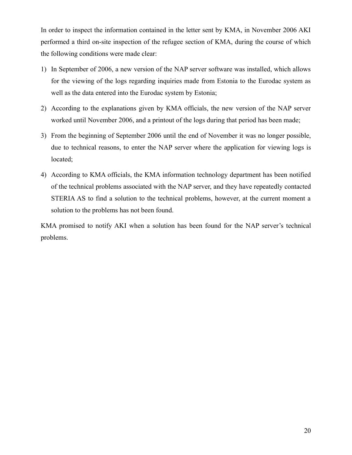In order to inspect the information contained in the letter sent by KMA, in November 2006 AKI performed a third on-site inspection of the refugee section of KMA, during the course of which the following conditions were made clear:

- 1) In September of 2006, a new version of the NAP server software was installed, which allows for the viewing of the logs regarding inquiries made from Estonia to the Eurodac system as well as the data entered into the Eurodac system by Estonia;
- 2) According to the explanations given by KMA officials, the new version of the NAP server worked until November 2006, and a printout of the logs during that period has been made;
- 3) From the beginning of September 2006 until the end of November it was no longer possible, due to technical reasons, to enter the NAP server where the application for viewing logs is located;
- 4) According to KMA officials, the KMA information technology department has been notified of the technical problems associated with the NAP server, and they have repeatedly contacted STERIA AS to find a solution to the technical problems, however, at the current moment a solution to the problems has not been found.

KMA promised to notify AKI when a solution has been found for the NAP server's technical problems.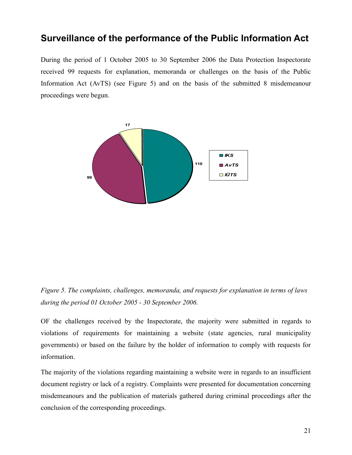# <span id="page-20-0"></span>**Surveillance of the performance of the Public Information Act**

During the period of 1 October 2005 to 30 September 2006 the Data Protection Inspectorate received 99 requests for explanation, memoranda or challenges on the basis of the Public Information Act (AvTS) (see Figure 5) and on the basis of the submitted 8 misdemeanour proceedings were begun.



*Figure 5. The complaints, challenges, memoranda, and requests for explanation in terms of laws during the period 01 October 2005 - 30 September 2006.*

OF the challenges received by the Inspectorate, the majority were submitted in regards to violations of requirements for maintaining a website (state agencies, rural municipality governments) or based on the failure by the holder of information to comply with requests for information.

The majority of the violations regarding maintaining a website were in regards to an insufficient document registry or lack of a registry. Complaints were presented for documentation concerning misdemeanours and the publication of materials gathered during criminal proceedings after the conclusion of the corresponding proceedings.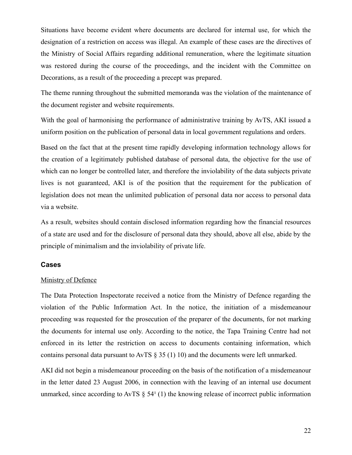Situations have become evident where documents are declared for internal use, for which the designation of a restriction on access was illegal. An example of these cases are the directives of the Ministry of Social Affairs regarding additional remuneration, where the legitimate situation was restored during the course of the proceedings, and the incident with the Committee on Decorations, as a result of the proceeding a precept was prepared.

The theme running throughout the submitted memoranda was the violation of the maintenance of the document register and website requirements.

With the goal of harmonising the performance of administrative training by AvTS, AKI issued a uniform position on the publication of personal data in local government regulations and orders.

Based on the fact that at the present time rapidly developing information technology allows for the creation of a legitimately published database of personal data, the objective for the use of which can no longer be controlled later, and therefore the inviolability of the data subjects private lives is not guaranteed, AKI is of the position that the requirement for the publication of legislation does not mean the unlimited publication of personal data nor access to personal data via a website.

As a result, websites should contain disclosed information regarding how the financial resources of a state are used and for the disclosure of personal data they should, above all else, abide by the principle of minimalism and the inviolability of private life.

#### <span id="page-21-0"></span>**Cases**

#### Ministry of Defence

The Data Protection Inspectorate received a notice from the Ministry of Defence regarding the violation of the Public Information Act. In the notice, the initiation of a misdemeanour proceeding was requested for the prosecution of the preparer of the documents, for not marking the documents for internal use only. According to the notice, the Tapa Training Centre had not enforced in its letter the restriction on access to documents containing information, which contains personal data pursuant to AvTS § 35 (1) 10) and the documents were left unmarked.

AKI did not begin a misdemeanour proceeding on the basis of the notification of a misdemeanour in the letter dated 23 August 2006, in connection with the leaving of an internal use document unmarked, since according to AvTS  $\S$  54 $\text{°}$  (1) the knowing release of incorrect public information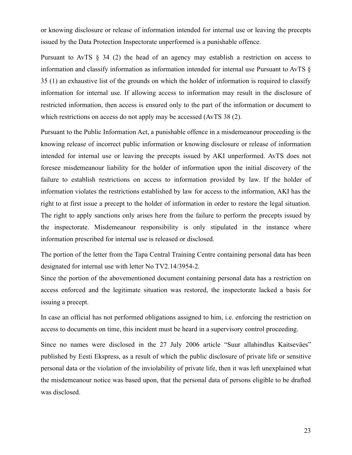or knowing disclosure or release of information intended for internal use or leaving the precepts issued by the Data Protection Inspectorate unperformed is a punishable offence.

Pursuant to AvTS § 34 (2) the head of an agency may establish a restriction on access to information and classify information as information intended for internal use Pursuant to AvTS § 35 (1) an exhaustive list of the grounds on which the holder of information is required to classify information for internal use. If allowing access to information may result in the disclosure of restricted information, then access is ensured only to the part of the information or document to which restrictions on access do not apply may be accessed (AvTS 38 (2).

Pursuant to the Public Information Act, a punishable offence in a misdemeanour proceeding is the knowing release of incorrect public information or knowing disclosure or release of information intended for internal use or leaving the precepts issued by AKI unperformed. AvTS does not foresee misdemeanour liability for the holder of information upon the initial discovery of the failure to establish restrictions on access to information provided by law. If the holder of information violates the restrictions established by law for access to the information, AKI has the right to at first issue a precept to the holder of information in order to restore the legal situation. The right to apply sanctions only arises here from the failure to perform the precepts issued by the inspectorate. Misdemeanour responsibility is only stipulated in the instance where information prescribed for internal use is released or disclosed.

The portion of the letter from the Tapa Central Training Centre containing personal data has been designated for internal use with letter No TV2.14/3954-2.

Since the portion of the abovementioned document containing personal data has a restriction on access enforced and the legitimate situation was restored, the inspectorate lacked a basis for issuing a precept.

In case an official has not performed obligations assigned to him, i.e. enforcing the restriction on access to documents on time, this incident must be heard in a supervisory control proceeding.

Since no names were disclosed in the 27 July 2006 article "Suur allahindlus Kaitseväes" published by Eesti Ekspress, as a result of which the public disclosure of private life or sensitive personal data or the violation of the inviolability of private life, then it was left unexplained what the misdemeanour notice was based upon, that the personal data of persons eligible to be drafted was disclosed.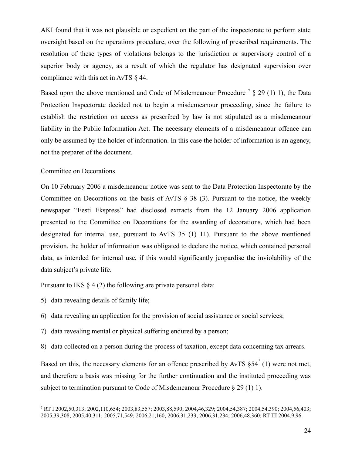AKI found that it was not plausible or expedient on the part of the inspectorate to perform state oversight based on the operations procedure, over the following of prescribed requirements. The resolution of these types of violations belongs to the jurisdiction or supervisory control of a superior body or agency, as a result of which the regulator has designated supervision over compliance with this act in AvTS § 44.

Based upon the above mentioned and Code of Misdemeanour Procedure<sup>[7](#page-23-0)</sup> § 29 (1) 1), the Data Protection Inspectorate decided not to begin a misdemeanour proceeding, since the failure to establish the restriction on access as prescribed by law is not stipulated as a misdemeanour liability in the Public Information Act. The necessary elements of a misdemeanour offence can only be assumed by the holder of information. In this case the holder of information is an agency, not the preparer of the document.

#### Committee on Decorations

On 10 February 2006 a misdemeanour notice was sent to the Data Protection Inspectorate by the Committee on Decorations on the basis of AvTS § 38 (3). Pursuant to the notice, the weekly newspaper "Eesti Ekspress" had disclosed extracts from the 12 January 2006 application presented to the Committee on Decorations for the awarding of decorations, which had been designated for internal use, pursuant to AvTS 35 (1) 11). Pursuant to the above mentioned provision, the holder of information was obligated to declare the notice, which contained personal data, as intended for internal use, if this would significantly jeopardise the inviolability of the data subject's private life.

Pursuant to IKS  $\S 4(2)$  the following are private personal data:

- 5) data revealing details of family life;
- 6) data revealing an application for the provision of social assistance or social services;
- 7) data revealing mental or physical suffering endured by a person;
- 8) data collected on a person during the process of taxation, except data concerning tax arrears.

Based on this, the necessary elements for an offence prescribed by AvTS  $\S 54^{\text{T}}(1)$  were not met, and therefore a basis was missing for the further continuation and the instituted proceeding was subject to termination pursuant to Code of Misdemeanour Procedure § 29 (1) 1).

<span id="page-23-0"></span><sup>7</sup> RT I 2002,50,313; 2002,110,654; 2003,83,557; 2003,88,590; 2004,46,329; 2004,54,387; 2004,54,390; 2004,56,403; 2005,39,308; 2005,40,311; 2005,71,549; 2006,21,160; 2006,31,233; 2006,31,234; 2006,48,360; RT III 2004,9,96.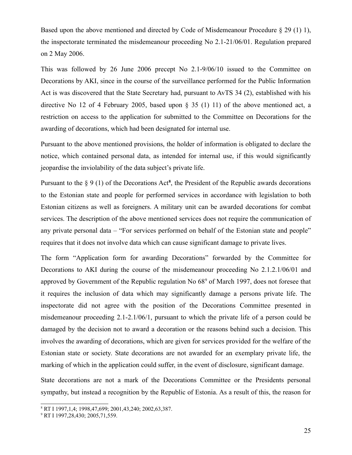Based upon the above mentioned and directed by Code of Misdemeanour Procedure § 29 (1) 1), the inspectorate terminated the misdemeanour proceeding No 2.1-21/06/01. Regulation prepared on 2 May 2006.

This was followed by 26 June 2006 precept No 2.1-9/06/10 issued to the Committee on Decorations by AKI, since in the course of the surveillance performed for the Public Information Act is was discovered that the State Secretary had, pursuant to AvTS 34 (2), established with his directive No 12 of 4 February 2005, based upon § 35 (1) 11) of the above mentioned act, a restriction on access to the application for submitted to the Committee on Decorations for the awarding of decorations, which had been designated for internal use.

Pursuant to the above mentioned provisions, the holder of information is obligated to declare the notice, which contained personal data, as intended for internal use, if this would significantly jeopardise the inviolability of the data subject's private life.

Pursuant to the  $\S$  9 (1) of the Decorations Act<sup>[8](#page-24-0)</sup>, the President of the Republic awards decorations to the Estonian state and people for performed services in accordance with legislation to both Estonian citizens as well as foreigners. A military unit can be awarded decorations for combat services. The description of the above mentioned services does not require the communication of any private personal data – "For services performed on behalf of the Estonian state and people" requires that it does not involve data which can cause significant damage to private lives.

The form "Application form for awarding Decorations" forwarded by the Committee for Decorations to AKI during the course of the misdemeanour proceeding No 2.1.2.1/06/01 and approved by Government of the Republic regulation No  $68^{\circ}$  of March 1[9](#page-24-1)97, does not foresee that it requires the inclusion of data which may significantly damage a persons private life. The inspectorate did not agree with the position of the Decorations Committee presented in misdemeanour proceeding 2.1-2.1/06/1, pursuant to which the private life of a person could be damaged by the decision not to award a decoration or the reasons behind such a decision. This involves the awarding of decorations, which are given for services provided for the welfare of the Estonian state or society. State decorations are not awarded for an exemplary private life, the marking of which in the application could suffer, in the event of disclosure, significant damage.

State decorations are not a mark of the Decorations Committee or the Presidents personal sympathy, but instead a recognition by the Republic of Estonia. As a result of this, the reason for

<span id="page-24-0"></span><sup>8</sup> RT I 1997,1,4; 1998,47,699; 2001,43,240; 2002,63,387.

<span id="page-24-1"></span><sup>9</sup> RT I 1997,28,430; 2005,71,559.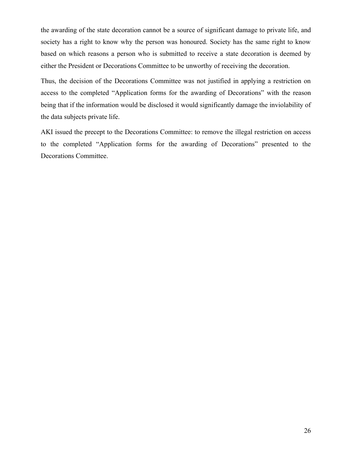the awarding of the state decoration cannot be a source of significant damage to private life, and society has a right to know why the person was honoured. Society has the same right to know based on which reasons a person who is submitted to receive a state decoration is deemed by either the President or Decorations Committee to be unworthy of receiving the decoration.

Thus, the decision of the Decorations Committee was not justified in applying a restriction on access to the completed "Application forms for the awarding of Decorations" with the reason being that if the information would be disclosed it would significantly damage the inviolability of the data subjects private life.

AKI issued the precept to the Decorations Committee: to remove the illegal restriction on access to the completed "Application forms for the awarding of Decorations" presented to the Decorations Committee.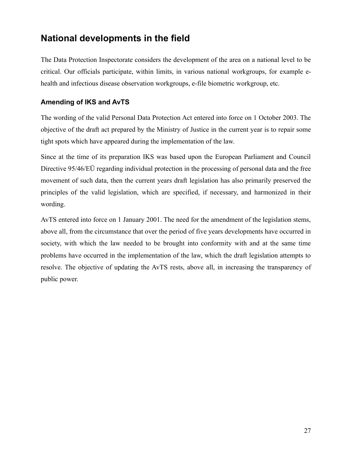# <span id="page-26-1"></span>**National developments in the field**

The Data Protection Inspectorate considers the development of the area on a national level to be critical. Our officials participate, within limits, in various national workgroups, for example ehealth and infectious disease observation workgroups, e-file biometric workgroup, etc.

#### <span id="page-26-0"></span>**Amending of IKS and AvTS**

The wording of the valid Personal Data Protection Act entered into force on 1 October 2003. The objective of the draft act prepared by the Ministry of Justice in the current year is to repair some tight spots which have appeared during the implementation of the law.

Since at the time of its preparation IKS was based upon the European Parliament and Council Directive 95/46/EÜ regarding individual protection in the processing of personal data and the free movement of such data, then the current years draft legislation has also primarily preserved the principles of the valid legislation, which are specified, if necessary, and harmonized in their wording.

AvTS entered into force on 1 January 2001. The need for the amendment of the legislation stems, above all, from the circumstance that over the period of five years developments have occurred in society, with which the law needed to be brought into conformity with and at the same time problems have occurred in the implementation of the law, which the draft legislation attempts to resolve. The objective of updating the AvTS rests, above all, in increasing the transparency of public power.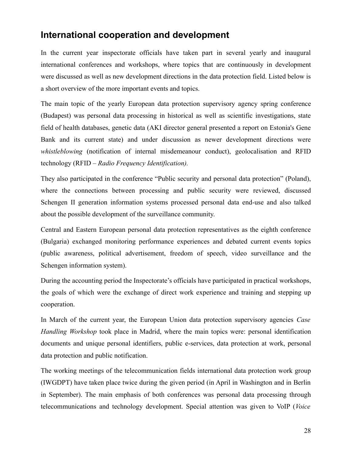# <span id="page-27-0"></span>**International cooperation and development**

In the current year inspectorate officials have taken part in several yearly and inaugural international conferences and workshops, where topics that are continuously in development were discussed as well as new development directions in the data protection field. Listed below is a short overview of the more important events and topics.

The main topic of the yearly European data protection supervisory agency spring conference (Budapest) was personal data processing in historical as well as scientific investigations, state field of health databases, genetic data (AKI director general presented a report on Estonia's Gene Bank and its current state) and under discussion as newer development directions were *whistleblowing* (notification of internal misdemeanour conduct), geolocalisation and RFID technology (RFID *– Radio Frequency Identification).*

They also participated in the conference "Public security and personal data protection" (Poland), where the connections between processing and public security were reviewed, discussed Schengen II generation information systems processed personal data end-use and also talked about the possible development of the surveillance community.

Central and Eastern European personal data protection representatives as the eighth conference (Bulgaria) exchanged monitoring performance experiences and debated current events topics (public awareness, political advertisement, freedom of speech, video surveillance and the Schengen information system).

During the accounting period the Inspectorate's officials have participated in practical workshops, the goals of which were the exchange of direct work experience and training and stepping up cooperation.

In March of the current year, the European Union data protection supervisory agencies *Case Handling Workshop* took place in Madrid, where the main topics were: personal identification documents and unique personal identifiers, public e-services, data protection at work, personal data protection and public notification.

The working meetings of the telecommunication fields international data protection work group (IWGDPT) have taken place twice during the given period (in April in Washington and in Berlin in September). The main emphasis of both conferences was personal data processing through telecommunications and technology development. Special attention was given to VoIP (*Voice*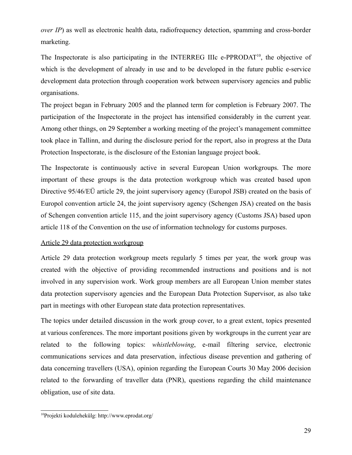*over IP*) as well as electronic health data, radiofrequency detection, spamming and cross-border marketing.

The Inspectorate is also participating in the INTERREG IIIc e-PPRODAT<sup>[10](#page-28-0)</sup>, the objective of which is the development of already in use and to be developed in the future public e-service development data protection through cooperation work between supervisory agencies and public organisations.

The project began in February 2005 and the planned term for completion is February 2007. The participation of the Inspectorate in the project has intensified considerably in the current year. Among other things, on 29 September a working meeting of the project's management committee took place in Tallinn, and during the disclosure period for the report, also in progress at the Data Protection Inspectorate, is the disclosure of the Estonian language project book.

The Inspectorate is continuously active in several European Union workgroups. The more important of these groups is the data protection workgroup which was created based upon Directive 95/46/EÜ article 29, the joint supervisory agency (Europol JSB) created on the basis of Europol convention article 24, the joint supervisory agency (Schengen JSA) created on the basis of Schengen convention article 115, and the joint supervisory agency (Customs JSA) based upon article 118 of the Convention on the use of information technology for customs purposes.

#### Article 29 data protection workgroup

Article 29 data protection workgroup meets regularly 5 times per year, the work group was created with the objective of providing recommended instructions and positions and is not involved in any supervision work. Work group members are all European Union member states data protection supervisory agencies and the European Data Protection Supervisor, as also take part in meetings with other European state data protection representatives.

The topics under detailed discussion in the work group cover, to a great extent, topics presented at various conferences. The more important positions given by workgroups in the current year are related to the following topics: *whistleblowing*, e-mail filtering service, electronic communications services and data preservation, infectious disease prevention and gathering of data concerning travellers (USA), opinion regarding the European Courts 30 May 2006 decision related to the forwarding of traveller data (PNR), questions regarding the child maintenance obligation, use of site data.

<span id="page-28-0"></span><sup>10</sup>Projekti kodulehekülg: http://www.eprodat.org/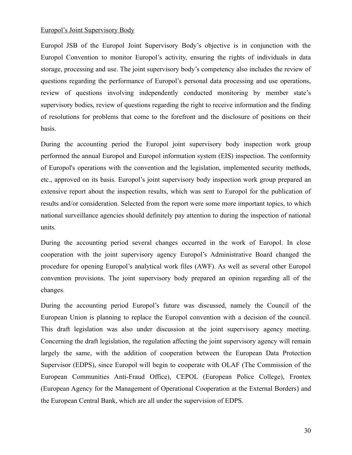#### Europol's Joint Supervisory Body

Europol JSB of the Europol Joint Supervisory Body's objective is in conjunction with the Europol Convention to monitor Europol's activity, ensuring the rights of individuals in data storage, processing and use. The joint supervisory body's competency also includes the review of questions regarding the performance of Europol's personal data processing and use operations, review of questions involving independently conducted monitoring by member state's supervisory bodies, review of questions regarding the right to receive information and the finding of resolutions for problems that come to the forefront and the disclosure of positions on their basis.

During the accounting period the Europol joint supervisory body inspection work group performed the annual Europol and Europol information system (EIS) inspection. The conformity of Europol's operations with the convention and the legislation, implemented security methods, etc., approved on its basis. Europol's joint supervisory body inspection work group prepared an extensive report about the inspection results, which was sent to Europol for the publication of results and/or consideration. Selected from the report were some more important topics, to which national surveillance agencies should definitely pay attention to during the inspection of national units.

During the accounting period several changes occurred in the work of Europol. In close cooperation with the joint supervisory agency Europol's Administrative Board changed the procedure for opening Europol's analytical work files (AWF). As well as several other Europol convention provisions. The joint supervisory body prepared an opinion regarding all of the changes.

During the accounting period Europol's future was discussed, namely the Council of the European Union is planning to replace the Europol convention with a decision of the council. This draft legislation was also under discussion at the joint supervisory agency meeting. Concerning the draft legislation, the regulation affecting the joint supervisory agency will remain largely the same, with the addition of cooperation between the European Data Protection Supervisor (EDPS), since Europol will begin to cooperate with OLAF (The Commission of the European Communities Anti-Fraud Office), CEPOL (European Police College), Frontex (European Agency for the Management of Operational Cooperation at the External Borders) and the European Central Bank, which are all under the supervision of EDPS.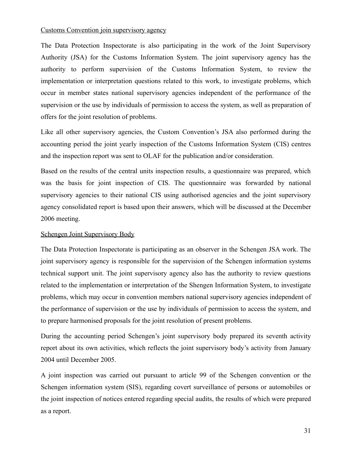#### Customs Convention join supervisory agency

The Data Protection Inspectorate is also participating in the work of the Joint Supervisory Authority (JSA) for the Customs Information System. The joint supervisory agency has the authority to perform supervision of the Customs Information System, to review the implementation or interpretation questions related to this work, to investigate problems, which occur in member states national supervisory agencies independent of the performance of the supervision or the use by individuals of permission to access the system, as well as preparation of offers for the joint resolution of problems.

Like all other supervisory agencies, the Custom Convention's JSA also performed during the accounting period the joint yearly inspection of the Customs Information System (CIS) centres and the inspection report was sent to OLAF for the publication and/or consideration.

Based on the results of the central units inspection results, a questionnaire was prepared, which was the basis for joint inspection of CIS. The questionnaire was forwarded by national supervisory agencies to their national CIS using authorised agencies and the joint supervisory agency consolidated report is based upon their answers, which will be discussed at the December 2006 meeting.

#### Schengen Joint Supervisory Body

The Data Protection Inspectorate is participating as an observer in the Schengen JSA work. The joint supervisory agency is responsible for the supervision of the Schengen information systems technical support unit. The joint supervisory agency also has the authority to review questions related to the implementation or interpretation of the Shengen Information System, to investigate problems, which may occur in convention members national supervisory agencies independent of the performance of supervision or the use by individuals of permission to access the system, and to prepare harmonised proposals for the joint resolution of present problems.

During the accounting period Schengen's joint supervisory body prepared its seventh activity report about its own activities, which reflects the joint supervisory body's activity from January 2004 until December 2005.

A joint inspection was carried out pursuant to article 99 of the Schengen convention or the Schengen information system (SIS), regarding covert surveillance of persons or automobiles or the joint inspection of notices entered regarding special audits, the results of which were prepared as a report.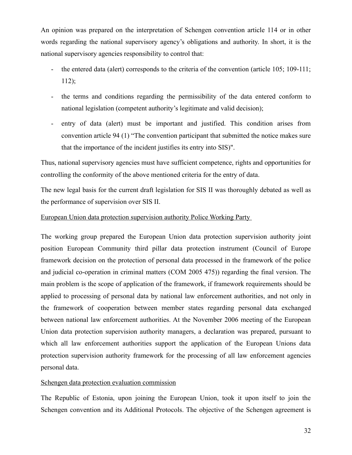An opinion was prepared on the interpretation of Schengen convention article 114 or in other words regarding the national supervisory agency's obligations and authority. In short, it is the national supervisory agencies responsibility to control that:

- the entered data (alert) corresponds to the criteria of the convention (article 105; 109-111; 112);
- the terms and conditions regarding the permissibility of the data entered conform to national legislation (competent authority's legitimate and valid decision);
- entry of data (alert) must be important and justified. This condition arises from convention article 94 (1) "The convention participant that submitted the notice makes sure that the importance of the incident justifies its entry into SIS)".

Thus, national supervisory agencies must have sufficient competence, rights and opportunities for controlling the conformity of the above mentioned criteria for the entry of data.

The new legal basis for the current draft legislation for SIS II was thoroughly debated as well as the performance of supervision over SIS II.

#### European Union data protection supervision authority Police Working Party

The working group prepared the European Union data protection supervision authority joint position European Community third pillar data protection instrument (Council of Europe framework decision on the protection of personal data processed in the framework of the police and judicial co-operation in criminal matters (COM 2005 475)) regarding the final version. The main problem is the scope of application of the framework, if framework requirements should be applied to processing of personal data by national law enforcement authorities, and not only in the framework of cooperation between member states regarding personal data exchanged between national law enforcement authorities. At the November 2006 meeting of the European Union data protection supervision authority managers, a declaration was prepared, pursuant to which all law enforcement authorities support the application of the European Unions data protection supervision authority framework for the processing of all law enforcement agencies personal data.

#### Schengen data protection evaluation commission

The Republic of Estonia, upon joining the European Union, took it upon itself to join the Schengen convention and its Additional Protocols. The objective of the Schengen agreement is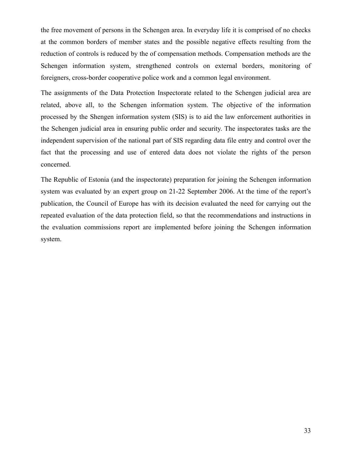the free movement of persons in the Schengen area. In everyday life it is comprised of no checks at the common borders of member states and the possible negative effects resulting from the reduction of controls is reduced by the of compensation methods. Compensation methods are the Schengen information system, strengthened controls on external borders, monitoring of foreigners, cross-border cooperative police work and a common legal environment.

The assignments of the Data Protection Inspectorate related to the Schengen judicial area are related, above all, to the Schengen information system. The objective of the information processed by the Shengen information system (SIS) is to aid the law enforcement authorities in the Schengen judicial area in ensuring public order and security. The inspectorates tasks are the independent supervision of the national part of SIS regarding data file entry and control over the fact that the processing and use of entered data does not violate the rights of the person concerned.

The Republic of Estonia (and the inspectorate) preparation for joining the Schengen information system was evaluated by an expert group on 21-22 September 2006. At the time of the report's publication, the Council of Europe has with its decision evaluated the need for carrying out the repeated evaluation of the data protection field, so that the recommendations and instructions in the evaluation commissions report are implemented before joining the Schengen information system.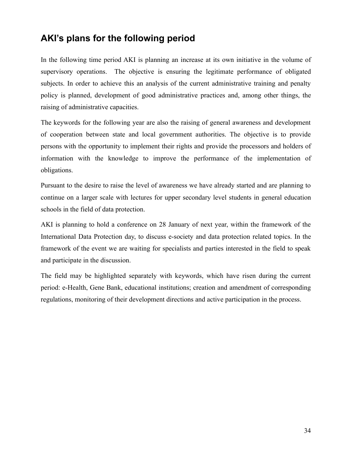# <span id="page-33-0"></span>**AKI's plans for the following period**

In the following time period AKI is planning an increase at its own initiative in the volume of supervisory operations. The objective is ensuring the legitimate performance of obligated subjects. In order to achieve this an analysis of the current administrative training and penalty policy is planned, development of good administrative practices and, among other things, the raising of administrative capacities.

The keywords for the following year are also the raising of general awareness and development of cooperation between state and local government authorities. The objective is to provide persons with the opportunity to implement their rights and provide the processors and holders of information with the knowledge to improve the performance of the implementation of obligations.

Pursuant to the desire to raise the level of awareness we have already started and are planning to continue on a larger scale with lectures for upper secondary level students in general education schools in the field of data protection.

AKI is planning to hold a conference on 28 January of next year, within the framework of the International Data Protection day, to discuss e-society and data protection related topics. In the framework of the event we are waiting for specialists and parties interested in the field to speak and participate in the discussion.

The field may be highlighted separately with keywords, which have risen during the current period: e-Health, Gene Bank, educational institutions; creation and amendment of corresponding regulations, monitoring of their development directions and active participation in the process.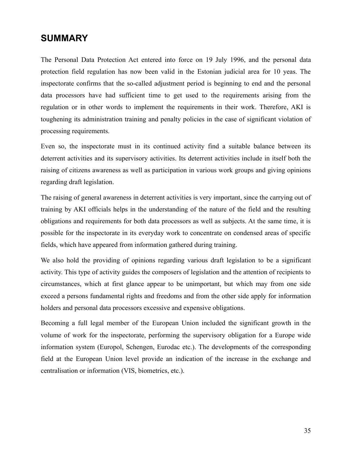### <span id="page-34-0"></span>**SUMMARY**

The Personal Data Protection Act entered into force on 19 July 1996, and the personal data protection field regulation has now been valid in the Estonian judicial area for 10 yeas. The inspectorate confirms that the so-called adjustment period is beginning to end and the personal data processors have had sufficient time to get used to the requirements arising from the regulation or in other words to implement the requirements in their work. Therefore, AKI is toughening its administration training and penalty policies in the case of significant violation of processing requirements.

Even so, the inspectorate must in its continued activity find a suitable balance between its deterrent activities and its supervisory activities. Its deterrent activities include in itself both the raising of citizens awareness as well as participation in various work groups and giving opinions regarding draft legislation.

The raising of general awareness in deterrent activities is very important, since the carrying out of training by AKI officials helps in the understanding of the nature of the field and the resulting obligations and requirements for both data processors as well as subjects. At the same time, it is possible for the inspectorate in its everyday work to concentrate on condensed areas of specific fields, which have appeared from information gathered during training.

We also hold the providing of opinions regarding various draft legislation to be a significant activity. This type of activity guides the composers of legislation and the attention of recipients to circumstances, which at first glance appear to be unimportant, but which may from one side exceed a persons fundamental rights and freedoms and from the other side apply for information holders and personal data processors excessive and expensive obligations.

Becoming a full legal member of the European Union included the significant growth in the volume of work for the inspectorate, performing the supervisory obligation for a Europe wide information system (Europol, Schengen, Eurodac etc.). The developments of the corresponding field at the European Union level provide an indication of the increase in the exchange and centralisation or information (VIS, biometrics, etc.).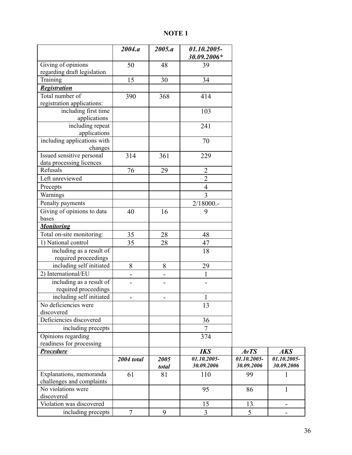### **NOTE 1**

|                                                   | 2004.a            | 2005.a                   | 01.10.2005-<br>30.09.2006* |                           |                           |
|---------------------------------------------------|-------------------|--------------------------|----------------------------|---------------------------|---------------------------|
| Giving of opinions<br>regarding draft legislation | 50                | 48                       | 39                         |                           |                           |
| Training                                          | 15                | 30                       | 34                         |                           |                           |
| <b>Registration</b>                               |                   |                          |                            |                           |                           |
| Total number of                                   | 390               | 368                      | 414                        |                           |                           |
| registration applications:                        |                   |                          |                            |                           |                           |
| including first time                              |                   |                          | 103                        |                           |                           |
| applications                                      |                   |                          |                            |                           |                           |
| including repeat<br>applications                  |                   |                          | 241                        |                           |                           |
| including applications with                       |                   |                          | 70                         |                           |                           |
| changes                                           |                   |                          |                            |                           |                           |
| Issued sensitive personal                         | 314               | 361                      | 229                        |                           |                           |
| data processing licences                          |                   |                          |                            |                           |                           |
| Refusals                                          | 76                | 29                       | $\overline{2}$             |                           |                           |
| Left unreviewed                                   |                   |                          | $\overline{2}$             |                           |                           |
| Precepts                                          |                   |                          | $\overline{4}$             |                           |                           |
| Warnings                                          |                   |                          | $\overline{3}$             |                           |                           |
| Penalty payments                                  |                   |                          | $2/18000$ .                |                           |                           |
| Giving of opinions to data                        | 40                | 16                       | 9                          |                           |                           |
| bases                                             |                   |                          |                            |                           |                           |
| <b>Monitoring</b>                                 |                   |                          |                            |                           |                           |
| Total on-site monitoring:                         | 35                | 28                       | 48                         |                           |                           |
| 1) National control                               | 35                | 28                       | 47                         |                           |                           |
| including as a result of<br>required proceedings  |                   |                          | 18                         |                           |                           |
| including self initiated                          | 8                 | 8                        | 29                         |                           |                           |
| 2) International/EU                               | $\overline{a}$    | $\overline{\phantom{0}}$ | $\mathbf{1}$               |                           |                           |
| including as a result of                          | $\overline{a}$    | -                        |                            |                           |                           |
| required proceedings                              |                   |                          |                            |                           |                           |
| including self initiated                          | -                 |                          | $\mathbf{1}$               |                           |                           |
| No deficiencies were                              |                   |                          | 13                         |                           |                           |
| discovered                                        |                   |                          |                            |                           |                           |
| Deficiencies discovered                           |                   |                          | 36                         |                           |                           |
| including precepts                                |                   |                          | $\overline{7}$             |                           |                           |
| Opinions regarding                                |                   |                          | 374                        |                           |                           |
| readiness for processing                          |                   |                          |                            |                           |                           |
| <b>Procedure</b>                                  |                   |                          | <b>IKS</b>                 | AvTS                      | <b>AKS</b>                |
|                                                   | <b>2004</b> total | 2005<br>total            | 01.10.2005-<br>30.09.2006  | 01.10.2005-<br>30.09.2006 | 01.10.2005-<br>30.09.2006 |
| Explanations, memoranda                           | 61                | 81                       | 110                        | 99                        |                           |
| challenges and complaints                         |                   |                          |                            |                           |                           |
| No violations were                                |                   |                          | 95                         | 86                        | 1                         |
| discovered                                        |                   |                          |                            |                           |                           |
| Violation was discovered                          |                   |                          | 15                         | 13                        |                           |
| including precepts                                | $\boldsymbol{7}$  | 9                        | $\overline{3}$             | 5                         |                           |